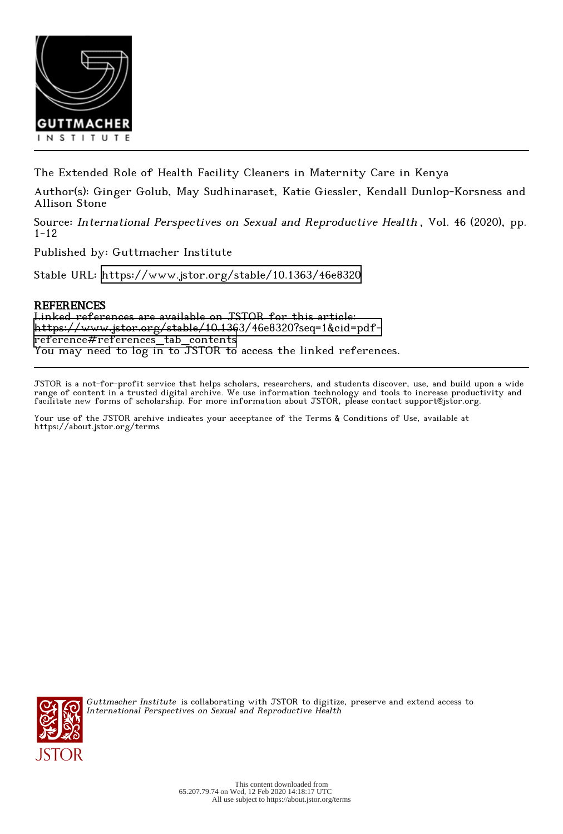

The Extended Role of Health Facility Cleaners in Maternity Care in Kenya

Author(s): Ginger Golub, May Sudhinaraset, Katie Giessler, Kendall Dunlop-Korsness and Allison Stone

Source: International Perspectives on Sexual and Reproductive Health , Vol. 46 (2020), pp. 1-12

Published by: Guttmacher Institute

Stable URL:<https://www.jstor.org/stable/10.1363/46e8320>

# REFERENCES

Linked references are available on JSTOR for this article: [https://www.jstor.org/stable/10.1363/46e8320?seq=1&cid=pdf](https://www.jstor.org/stable/10.1363/46e8320?seq=1&cid=pdf-reference#references_tab_contents)[reference#references\\_tab\\_contents](https://www.jstor.org/stable/10.1363/46e8320?seq=1&cid=pdf-reference#references_tab_contents) You may need to log in to JSTOR to access the linked references.

JSTOR is a not-for-profit service that helps scholars, researchers, and students discover, use, and build upon a wide range of content in a trusted digital archive. We use information technology and tools to increase productivity and facilitate new forms of scholarship. For more information about JSTOR, please contact support@jstor.org.

Your use of the JSTOR archive indicates your acceptance of the Terms & Conditions of Use, available at https://about.jstor.org/terms



Guttmacher Institute is collaborating with JSTOR to digitize, preserve and extend access to International Perspectives on Sexual and Reproductive Health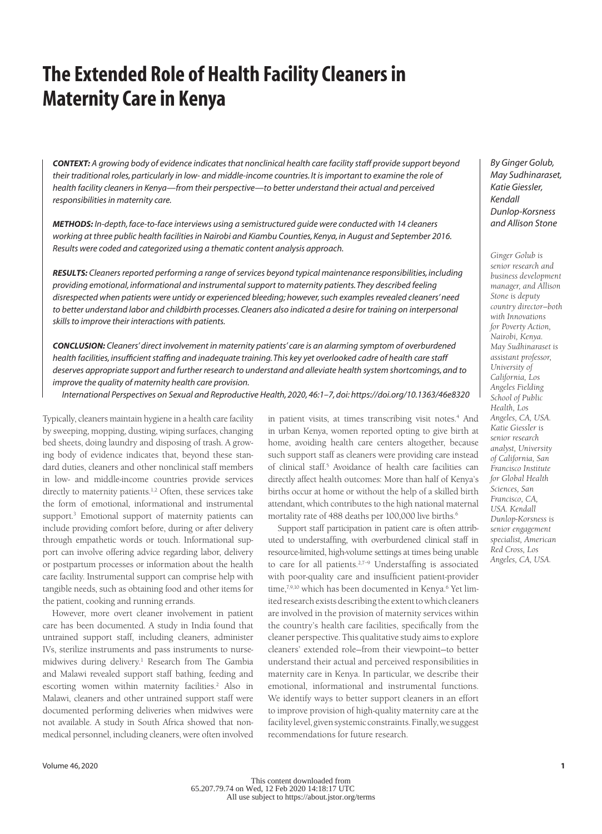# **The Extended Role of Health Facility Cleaners in Maternity Care in Kenya**

*CONTEXT: A growing body of evidence indicates that nonclinical health care facility staff provide support beyond their traditional roles, particularly in low- and middle-income countries. It is important to examine the role of health facility cleaners in Kenya—from their perspective—to better understand their actual and perceived responsibilities in maternity care.*

*METHODS: In-depth, face-to-face interviews using a semistructured guide were conducted with 14 cleaners working at three public health facilities in Nairobi and Kiambu Counties, Kenya, in August and September 2016. Results were coded and categorized using a thematic content analysis approach.*

*RESULTS: Cleaners reported performing a range of services beyond typical maintenance responsibilities, including providing emotional, informational and instrumental support to maternity patients. They described feeling disrespected when patients were untidy or experienced bleeding; however, such examples revealed cleaners' need*  to better understand labor and childbirth processes. Cleaners also indicated a desire for training on interpersonal *skills to improve their interactions with patients.*

*CONCLUSION: Cleaners' direct involvement in maternity patients' care is an alarming symptom of overburdened health facilities, insufficient staffing and inadequate training. This key yet overlooked cadre of health care staff deserves appropriate support and further research to understand and alleviate health system shortcomings, and to improve the quality of maternity health care provision.*

*International Perspectives on Sexual and Reproductive Health, 2020, 46:1–7, doi: https://doi.org/10.1363/46e8320*

Typically, cleaners maintain hygiene in a health care facility by sweeping, mopping, dusting, wiping surfaces, changing bed sheets, doing laundry and disposing of trash. A growing body of evidence indicates that, beyond these standard duties, cleaners and other nonclinical staff members in low- and middle-income countries provide services directly to maternity patients.<sup>1,2</sup> Often, these services take the form of emotional, informational and instrumental support.3 Emotional support of maternity patients can include providing comfort before, during or after delivery through empathetic words or touch. Informational support can involve offering advice regarding labor, delivery or postpartum processes or information about the health care facility. Instrumental support can comprise help with tangible needs, such as obtaining food and other items for the patient, cooking and running errands.

However, more overt cleaner involvement in patient care has been documented. A study in India found that untrained support staff, including cleaners, administer IVs, sterilize instruments and pass instruments to nursemidwives during delivery.<sup>1</sup> Research from The Gambia and Malawi revealed support staff bathing, feeding and escorting women within maternity facilities.<sup>2</sup> Also in Malawi, cleaners and other untrained support staff were documented performing deliveries when midwives were not available. A study in South Africa showed that nonmedical personnel, including cleaners, were often involved

in patient visits, at times transcribing visit notes.<sup>4</sup> And in urban Kenya, women reported opting to give birth at home, avoiding health care centers altogether, because such support staff as cleaners were providing care instead of clinical staff.<sup>5</sup> Avoidance of health care facilities can directly affect health outcomes: More than half of Kenya's births occur at home or without the help of a skilled birth attendant, which contributes to the high national maternal mortality rate of 488 deaths per 100,000 live births.<sup>6</sup>

Support staff participation in patient care is often attributed to understaffing, with overburdened clinical staff in resource-limited, high-volume settings at times being unable to care for all patients.2,7–9 Understaffing is associated with poor-quality care and insufficient patient-provider time,<sup>7,9,10</sup> which has been documented in Kenya.<sup>6</sup> Yet limited research exists describing the extent to which cleaners are involved in the provision of maternity services within the country's health care facilities, specifically from the cleaner perspective. This qualitative study aims to explore cleaners' extended role—from their viewpoint—to better understand their actual and perceived responsibilities in maternity care in Kenya. In particular, we describe their emotional, informational and instrumental functions. We identify ways to better support cleaners in an effort to improve provision of high-quality maternity care at the facility level, given systemic constraints. Finally, we suggest recommendations for future research.

*By Ginger Golub, May Sudhinaraset, Katie Giessler, Kendall Dunlop-Korsness and Allison Stone*

*Ginger Golub is senior research and business development manager, and Allison Stone is deputy country director—both with Innovations for Poverty Action, Nairobi, Kenya. May Sudhinaraset is assistant professor, University of California, Los Angeles Fielding School of Public Health, Los Angeles, CA, USA. Katie Giessler is senior research analyst, University of California, San Francisco Institute for Global Health Sciences, San Francisco, CA, USA. Kendall Dunlop-Korsness is senior engagement specialist, American Red Cross, Los Angeles, CA, USA.*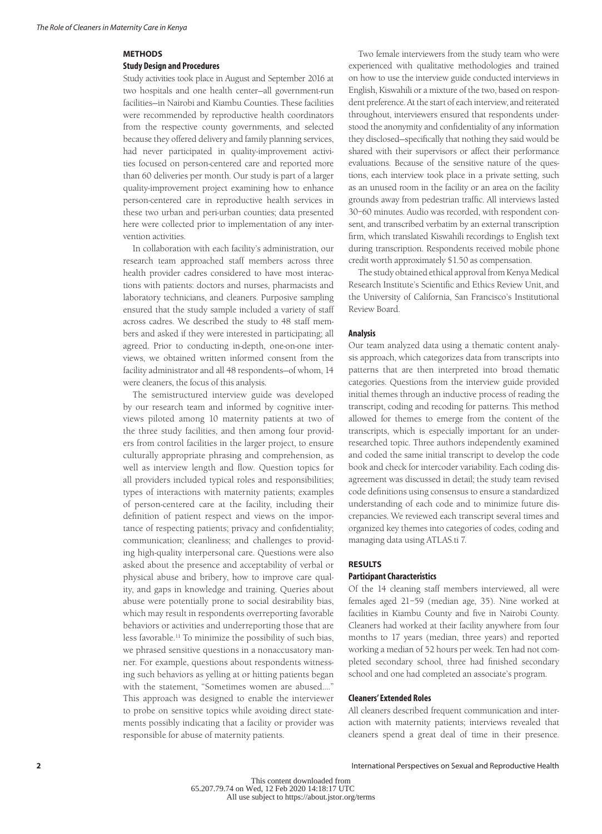# **METHODS**

#### **Study Design and Procedures**

Study activities took place in August and September 2016 at two hospitals and one health center—all government-run facilities—in Nairobi and Kiambu Counties. These facilities were recommended by reproductive health coordinators from the respective county governments, and selected because they offered delivery and family planning services, had never participated in quality-improvement activities focused on person-centered care and reported more than 60 deliveries per month. Our study is part of a larger quality-improvement project examining how to enhance person-centered care in reproductive health services in these two urban and peri-urban counties; data presented here were collected prior to implementation of any intervention activities.

In collaboration with each facility's administration, our research team approached staff members across three health provider cadres considered to have most interactions with patients: doctors and nurses, pharmacists and laboratory technicians, and cleaners. Purposive sampling ensured that the study sample included a variety of staff across cadres. We described the study to 48 staff members and asked if they were interested in participating; all agreed. Prior to conducting in-depth, one-on-one interviews, we obtained written informed consent from the facility administrator and all 48 respondents—of whom, 14 were cleaners, the focus of this analysis.

The semistructured interview guide was developed by our research team and informed by cognitive interviews piloted among 10 maternity patients at two of the three study facilities, and then among four providers from control facilities in the larger project, to ensure culturally appropriate phrasing and comprehension, as well as interview length and flow. Question topics for all providers included typical roles and responsibilities; types of interactions with maternity patients; examples of person-centered care at the facility, including their definition of patient respect and views on the importance of respecting patients; privacy and confidentiality; communication; cleanliness; and challenges to providing high-quality interpersonal care. Questions were also asked about the presence and acceptability of verbal or physical abuse and bribery, how to improve care quality, and gaps in knowledge and training. Queries about abuse were potentially prone to social desirability bias, which may result in respondents overreporting favorable behaviors or activities and underreporting those that are less favorable.11 To minimize the possibility of such bias, we phrased sensitive questions in a nonaccusatory manner. For example, questions about respondents witnessing such behaviors as yelling at or hitting patients began with the statement, "Sometimes women are abused.…" This approach was designed to enable the interviewer to probe on sensitive topics while avoiding direct statements possibly indicating that a facility or provider was responsible for abuse of maternity patients.

Two female interviewers from the study team who were experienced with qualitative methodologies and trained on how to use the interview guide conducted interviews in English, Kiswahili or a mixture of the two, based on respondent preference. At the start of each interview, and reiterated throughout, interviewers ensured that respondents understood the anonymity and confidentiality of any information they disclosed—specifically that nothing they said would be shared with their supervisors or affect their performance evaluations. Because of the sensitive nature of the questions, each interview took place in a private setting, such as an unused room in the facility or an area on the facility grounds away from pedestrian traffic. All interviews lasted 30–60 minutes. Audio was recorded, with respondent consent, and transcribed verbatim by an external transcription firm, which translated Kiswahili recordings to English text during transcription. Respondents received mobile phone credit worth approximately \$1.50 as compensation.

The study obtained ethical approval from Kenya Medical Research Institute's Scientific and Ethics Review Unit, and the University of California, San Francisco's Institutional Review Board.

## **Analysis**

Our team analyzed data using a thematic content analysis approach, which categorizes data from transcripts into patterns that are then interpreted into broad thematic categories. Questions from the interview guide provided initial themes through an inductive process of reading the transcript, coding and recoding for patterns. This method allowed for themes to emerge from the content of the transcripts, which is especially important for an underresearched topic. Three authors independently examined and coded the same initial transcript to develop the code book and check for intercoder variability. Each coding disagreement was discussed in detail; the study team revised code definitions using consensus to ensure a standardized understanding of each code and to minimize future discrepancies. We reviewed each transcript several times and organized key themes into categories of codes, coding and managing data using ATLAS.ti 7.

#### **RESULTS**

#### **Participant Characteristics**

Of the 14 cleaning staff members interviewed, all were females aged 21–59 (median age, 35). Nine worked at facilities in Kiambu County and five in Nairobi County. Cleaners had worked at their facility anywhere from four months to 17 years (median, three years) and reported working a median of 52 hours per week. Ten had not completed secondary school, three had finished secondary school and one had completed an associate's program.

## **Cleaners' Extended Roles**

All cleaners described frequent communication and interaction with maternity patients; interviews revealed that cleaners spend a great deal of time in their presence.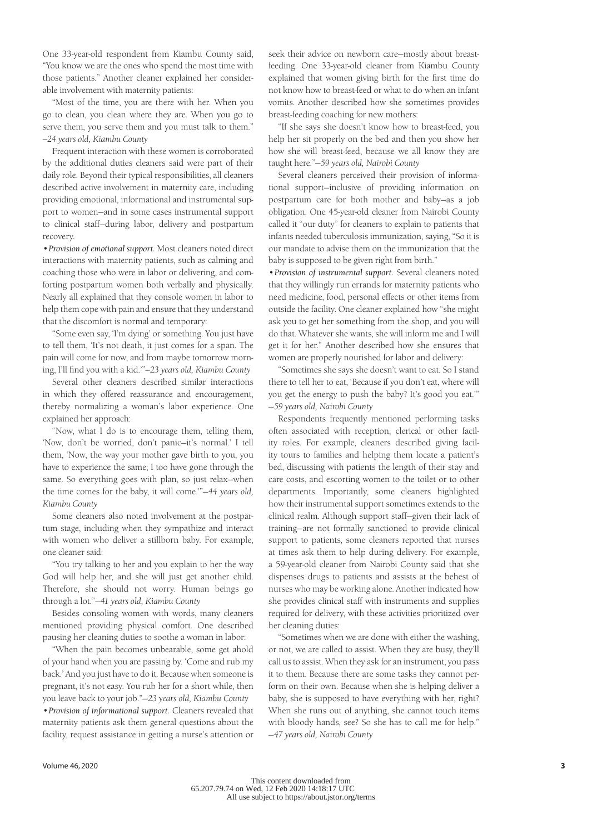One 33-year-old respondent from Kiambu County said, "You know we are the ones who spend the most time with those patients." Another cleaner explained her considerable involvement with maternity patients:

"Most of the time, you are there with her. When you go to clean, you clean where they are. When you go to serve them, you serve them and you must talk to them." *—24 years old, Kiambu County*

Frequent interaction with these women is corroborated by the additional duties cleaners said were part of their daily role. Beyond their typical responsibilities, all cleaners described active involvement in maternity care, including providing emotional, informational and instrumental support to women—and in some cases instrumental support to clinical staff—during labor, delivery and postpartum recovery.

•*Provision of emotional support.* Most cleaners noted direct interactions with maternity patients, such as calming and coaching those who were in labor or delivering, and comforting postpartum women both verbally and physically. Nearly all explained that they console women in labor to help them cope with pain and ensure that they understand that the discomfort is normal and temporary:

"Some even say, 'I'm dying' or something. You just have to tell them, 'It's not death, it just comes for a span. The pain will come for now, and from maybe tomorrow morning, I'll find you with a kid.'"*—23 years old, Kiambu County*

Several other cleaners described similar interactions in which they offered reassurance and encouragement, thereby normalizing a woman's labor experience. One explained her approach:

"Now, what I do is to encourage them, telling them, 'Now, don't be worried, don't panic—it's normal.' I tell them, 'Now, the way your mother gave birth to you, you have to experience the same; I too have gone through the same. So everything goes with plan, so just relax—when the time comes for the baby, it will come.'"—*44 years old, Kiambu County*

Some cleaners also noted involvement at the postpartum stage, including when they sympathize and interact with women who deliver a stillborn baby. For example, one cleaner said:

"You try talking to her and you explain to her the way God will help her, and she will just get another child. Therefore, she should not worry. Human beings go through a lot."—*41 years old, Kiambu County*

Besides consoling women with words, many cleaners mentioned providing physical comfort. One described pausing her cleaning duties to soothe a woman in labor:

"When the pain becomes unbearable, some get ahold of your hand when you are passing by. 'Come and rub my back.' And you just have to do it. Because when someone is pregnant, it's not easy. You rub her for a short while, then you leave back to your job."—*23 years old, Kiambu County* •*Provision of informational support.* Cleaners revealed that maternity patients ask them general questions about the facility, request assistance in getting a nurse's attention or

seek their advice on newborn care—mostly about breastfeeding. One 33-year-old cleaner from Kiambu County explained that women giving birth for the first time do not know how to breast-feed or what to do when an infant vomits. Another described how she sometimes provides breast-feeding coaching for new mothers:

"If she says she doesn't know how to breast-feed, you help her sit properly on the bed and then you show her how she will breast-feed, because we all know they are taught here."—*59 years old, Nairobi County*

Several cleaners perceived their provision of informational support—inclusive of providing information on postpartum care for both mother and baby—as a job obligation. One 45-year-old cleaner from Nairobi County called it "our duty" for cleaners to explain to patients that infants needed tuberculosis immunization, saying, "So it is our mandate to advise them on the immunization that the baby is supposed to be given right from birth."

•*Provision of instrumental support.* Several cleaners noted that they willingly run errands for maternity patients who need medicine, food, personal effects or other items from outside the facility. One cleaner explained how "she might ask you to get her something from the shop, and you will do that. Whatever she wants, she will inform me and I will get it for her." Another described how she ensures that women are properly nourished for labor and delivery:

"Sometimes she says she doesn't want to eat. So I stand there to tell her to eat, 'Because if you don't eat, where will you get the energy to push the baby? It's good you eat.'" —*59 years old, Nairobi County*

Respondents frequently mentioned performing tasks often associated with reception, clerical or other facility roles. For example, cleaners described giving facility tours to families and helping them locate a patient's bed, discussing with patients the length of their stay and care costs, and escorting women to the toilet or to other departments. Importantly, some cleaners highlighted how their instrumental support sometimes extends to the clinical realm. Although support staff—given their lack of training—are not formally sanctioned to provide clinical support to patients, some cleaners reported that nurses at times ask them to help during delivery. For example, a 59-year-old cleaner from Nairobi County said that she dispenses drugs to patients and assists at the behest of nurses who may be working alone. Another indicated how she provides clinical staff with instruments and supplies required for delivery, with these activities prioritized over her cleaning duties:

"Sometimes when we are done with either the washing, or not, we are called to assist. When they are busy, they'll call us to assist. When they ask for an instrument, you pass it to them. Because there are some tasks they cannot perform on their own. Because when she is helping deliver a baby, she is supposed to have everything with her, right? When she runs out of anything, she cannot touch items with bloody hands, see? So she has to call me for help." —*47 years old, Nairobi County*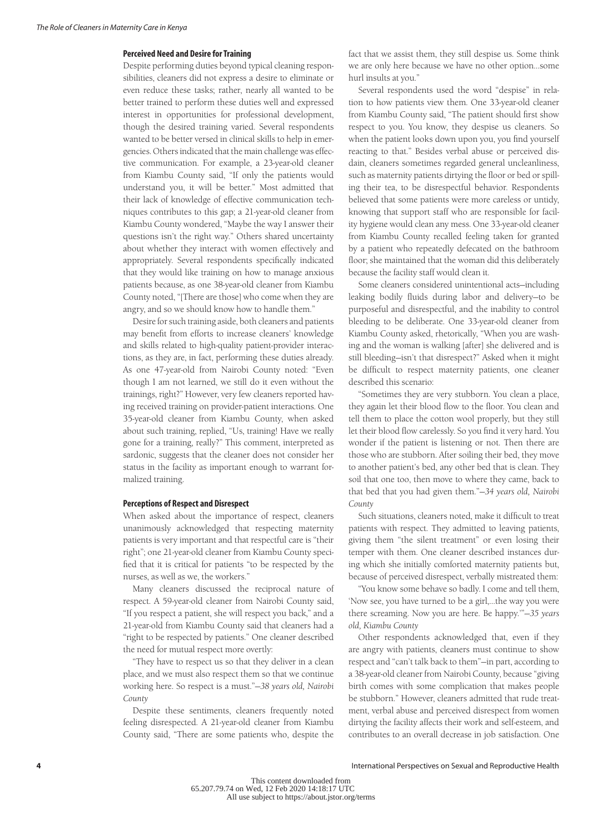# **Perceived Need and Desire for Training**

Despite performing duties beyond typical cleaning responsibilities, cleaners did not express a desire to eliminate or even reduce these tasks; rather, nearly all wanted to be better trained to perform these duties well and expressed interest in opportunities for professional development, though the desired training varied. Several respondents wanted to be better versed in clinical skills to help in emergencies. Others indicated that the main challenge was effective communication. For example, a 23-year-old cleaner from Kiambu County said, "If only the patients would understand you, it will be better." Most admitted that their lack of knowledge of effective communication techniques contributes to this gap; a 21-year-old cleaner from Kiambu County wondered, "Maybe the way I answer their questions isn't the right way." Others shared uncertainty about whether they interact with women effectively and appropriately. Several respondents specifically indicated that they would like training on how to manage anxious patients because, as one 38-year-old cleaner from Kiambu County noted, "[There are those] who come when they are angry, and so we should know how to handle them."

Desire for such training aside, both cleaners and patients may benefit from efforts to increase cleaners' knowledge and skills related to high-quality patient-provider interactions, as they are, in fact, performing these duties already. As one 47-year-old from Nairobi County noted: "Even though I am not learned, we still do it even without the trainings, right?" However, very few cleaners reported having received training on provider-patient interactions. One 35-year-old cleaner from Kiambu County, when asked about such training, replied, "Us, training! Have we really gone for a training, really?" This comment, interpreted as sardonic, suggests that the cleaner does not consider her status in the facility as important enough to warrant formalized training.

# **Perceptions of Respect and Disrespect**

When asked about the importance of respect, cleaners unanimously acknowledged that respecting maternity patients is very important and that respectful care is "their right"; one 21-year-old cleaner from Kiambu County specified that it is critical for patients "to be respected by the nurses, as well as we, the workers."

Many cleaners discussed the reciprocal nature of respect. A 59-year-old cleaner from Nairobi County said, "If you respect a patient, she will respect you back," and a 21-year-old from Kiambu County said that cleaners had a "right to be respected by patients." One cleaner described the need for mutual respect more overtly:

"They have to respect us so that they deliver in a clean place, and we must also respect them so that we continue working here. So respect is a must."—*38 years old, Nairobi County*

Despite these sentiments, cleaners frequently noted feeling disrespected. A 21-year-old cleaner from Kiambu County said, "There are some patients who, despite the

fact that we assist them, they still despise us. Some think we are only here because we have no other option…some hurl insults at you."

Several respondents used the word "despise" in relation to how patients view them. One 33-year-old cleaner from Kiambu County said, "The patient should first show respect to you. You know, they despise us cleaners. So when the patient looks down upon you, you find yourself reacting to that." Besides verbal abuse or perceived disdain, cleaners sometimes regarded general uncleanliness, such as maternity patients dirtying the floor or bed or spilling their tea, to be disrespectful behavior. Respondents believed that some patients were more careless or untidy, knowing that support staff who are responsible for facility hygiene would clean any mess. One 33-year-old cleaner from Kiambu County recalled feeling taken for granted by a patient who repeatedly defecated on the bathroom floor; she maintained that the woman did this deliberately because the facility staff would clean it.

Some cleaners considered unintentional acts—including leaking bodily fluids during labor and delivery—to be purposeful and disrespectful, and the inability to control bleeding to be deliberate. One 33-year-old cleaner from Kiambu County asked, rhetorically, "When you are washing and the woman is walking [after] she delivered and is still bleeding—isn't that disrespect?" Asked when it might be difficult to respect maternity patients, one cleaner described this scenario:

"Sometimes they are very stubborn. You clean a place, they again let their blood flow to the floor. You clean and tell them to place the cotton wool properly, but they still let their blood flow carelessly. So you find it very hard. You wonder if the patient is listening or not. Then there are those who are stubborn. After soiling their bed, they move to another patient's bed, any other bed that is clean. They soil that one too, then move to where they came, back to that bed that you had given them."—*34 years old, Nairobi County*

Such situations, cleaners noted, make it difficult to treat patients with respect. They admitted to leaving patients, giving them "the silent treatment" or even losing their temper with them. One cleaner described instances during which she initially comforted maternity patients but, because of perceived disrespect, verbally mistreated them:

"You know some behave so badly. I come and tell them, 'Now see, you have turned to be a girl,…the way you were there screaming. Now you are here. Be happy.'"—*35 years old, Kiambu County*

Other respondents acknowledged that, even if they are angry with patients, cleaners must continue to show respect and "can't talk back to them"—in part, according to a 38-year-old cleaner from Nairobi County, because "giving birth comes with some complication that makes people be stubborn." However, cleaners admitted that rude treatment, verbal abuse and perceived disrespect from women dirtying the facility affects their work and self-esteem, and contributes to an overall decrease in job satisfaction. One

International Perspectives on Sexual and Reproductive Health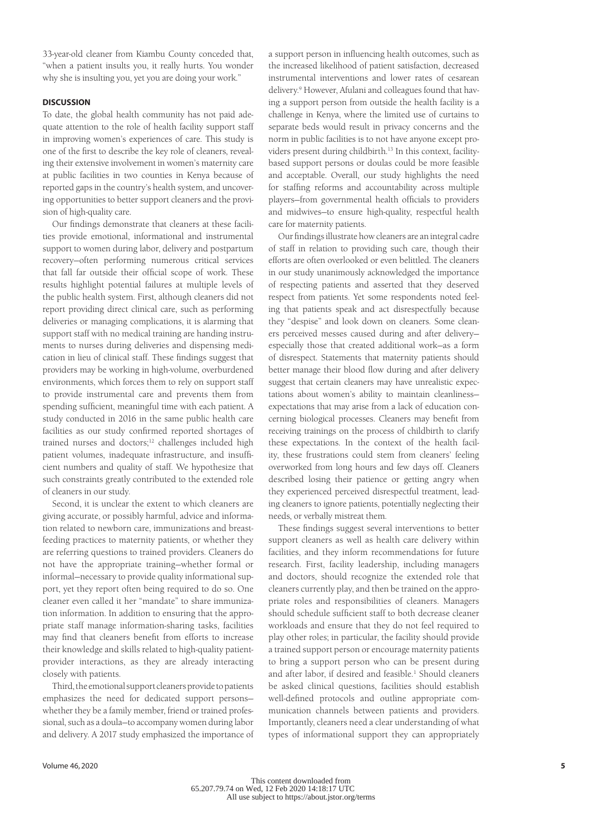33-year-old cleaner from Kiambu County conceded that, "when a patient insults you, it really hurts. You wonder why she is insulting you, yet you are doing your work."

#### **DISCUSSION**

To date, the global health community has not paid adequate attention to the role of health facility support staff in improving women's experiences of care. This study is one of the first to describe the key role of cleaners, revealing their extensive involvement in women's maternity care at public facilities in two counties in Kenya because of reported gaps in the country's health system, and uncovering opportunities to better support cleaners and the provision of high-quality care.

Our findings demonstrate that cleaners at these facilities provide emotional, informational and instrumental support to women during labor, delivery and postpartum recovery—often performing numerous critical services that fall far outside their official scope of work. These results highlight potential failures at multiple levels of the public health system. First, although cleaners did not report providing direct clinical care, such as performing deliveries or managing complications, it is alarming that support staff with no medical training are handing instruments to nurses during deliveries and dispensing medication in lieu of clinical staff. These findings suggest that providers may be working in high-volume, overburdened environments, which forces them to rely on support staff to provide instrumental care and prevents them from spending sufficient, meaningful time with each patient. A study conducted in 2016 in the same public health care facilities as our study confirmed reported shortages of trained nurses and doctors;<sup>12</sup> challenges included high patient volumes, inadequate infrastructure, and insufficient numbers and quality of staff. We hypothesize that such constraints greatly contributed to the extended role of cleaners in our study.

Second, it is unclear the extent to which cleaners are giving accurate, or possibly harmful, advice and information related to newborn care, immunizations and breastfeeding practices to maternity patients, or whether they are referring questions to trained providers. Cleaners do not have the appropriate training—whether formal or informal—necessary to provide quality informational support, yet they report often being required to do so. One cleaner even called it her "mandate" to share immunization information. In addition to ensuring that the appropriate staff manage information-sharing tasks, facilities may find that cleaners benefit from efforts to increase their knowledge and skills related to high-quality patientprovider interactions, as they are already interacting closely with patients.

Third, the emotional support cleaners provide to patients emphasizes the need for dedicated support persons whether they be a family member, friend or trained professional, such as a doula—to accompany women during labor and delivery. A 2017 study emphasized the importance of

a support person in influencing health outcomes, such as the increased likelihood of patient satisfaction, decreased instrumental interventions and lower rates of cesarean delivery.9 However, Afulani and colleagues found that having a support person from outside the health facility is a challenge in Kenya, where the limited use of curtains to separate beds would result in privacy concerns and the norm in public facilities is to not have anyone except providers present during childbirth.13 In this context, facilitybased support persons or doulas could be more feasible and acceptable. Overall, our study highlights the need for staffing reforms and accountability across multiple players—from governmental health officials to providers and midwives—to ensure high-quality, respectful health care for maternity patients.

Our findings illustrate how cleaners are an integral cadre of staff in relation to providing such care, though their efforts are often overlooked or even belittled. The cleaners in our study unanimously acknowledged the importance of respecting patients and asserted that they deserved respect from patients. Yet some respondents noted feeling that patients speak and act disrespectfully because they "despise" and look down on cleaners. Some cleaners perceived messes caused during and after delivery especially those that created additional work—as a form of disrespect. Statements that maternity patients should better manage their blood flow during and after delivery suggest that certain cleaners may have unrealistic expectations about women's ability to maintain cleanliness expectations that may arise from a lack of education concerning biological processes. Cleaners may benefit from receiving trainings on the process of childbirth to clarify these expectations. In the context of the health facility, these frustrations could stem from cleaners' feeling overworked from long hours and few days off. Cleaners described losing their patience or getting angry when they experienced perceived disrespectful treatment, leading cleaners to ignore patients, potentially neglecting their needs, or verbally mistreat them.

These findings suggest several interventions to better support cleaners as well as health care delivery within facilities, and they inform recommendations for future research. First, facility leadership, including managers and doctors, should recognize the extended role that cleaners currently play, and then be trained on the appropriate roles and responsibilities of cleaners. Managers should schedule sufficient staff to both decrease cleaner workloads and ensure that they do not feel required to play other roles; in particular, the facility should provide a trained support person or encourage maternity patients to bring a support person who can be present during and after labor, if desired and feasible.<sup>1</sup> Should cleaners be asked clinical questions, facilities should establish well-defined protocols and outline appropriate communication channels between patients and providers. Importantly, cleaners need a clear understanding of what types of informational support they can appropriately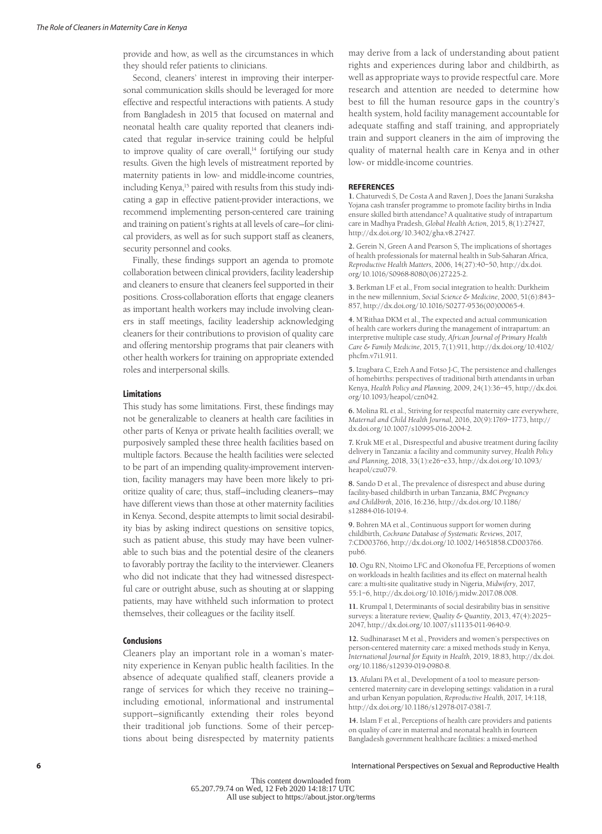provide and how, as well as the circumstances in which they should refer patients to clinicians.

Second, cleaners' interest in improving their interpersonal communication skills should be leveraged for more effective and respectful interactions with patients. A study from Bangladesh in 2015 that focused on maternal and neonatal health care quality reported that cleaners indicated that regular in-service training could be helpful to improve quality of care overall,<sup>14</sup> fortifying our study results. Given the high levels of mistreatment reported by maternity patients in low- and middle-income countries, including Kenya,<sup>15</sup> paired with results from this study indicating a gap in effective patient-provider interactions, we recommend implementing person-centered care training and training on patient's rights at all levels of care—for clinical providers, as well as for such support staff as cleaners, security personnel and cooks.

Finally, these findings support an agenda to promote collaboration between clinical providers, facility leadership and cleaners to ensure that cleaners feel supported in their positions. Cross-collaboration efforts that engage cleaners as important health workers may include involving cleaners in staff meetings, facility leadership acknowledging cleaners for their contributions to provision of quality care and offering mentorship programs that pair cleaners with other health workers for training on appropriate extended roles and interpersonal skills.

#### **Limitations**

This study has some limitations. First, these findings may not be generalizable to cleaners at health care facilities in other parts of Kenya or private health facilities overall; we purposively sampled these three health facilities based on multiple factors. Because the health facilities were selected to be part of an impending quality-improvement intervention, facility managers may have been more likely to prioritize quality of care; thus, staff—including cleaners—may have different views than those at other maternity facilities in Kenya. Second, despite attempts to limit social desirability bias by asking indirect questions on sensitive topics, such as patient abuse, this study may have been vulnerable to such bias and the potential desire of the cleaners to favorably portray the facility to the interviewer. Cleaners who did not indicate that they had witnessed disrespectful care or outright abuse, such as shouting at or slapping patients, may have withheld such information to protect themselves, their colleagues or the facility itself.

#### **Conclusions**

Cleaners play an important role in a woman's maternity experience in Kenyan public health facilities. In the absence of adequate qualified staff, cleaners provide a range of services for which they receive no training including emotional, informational and instrumental support—significantly extending their roles beyond their traditional job functions. Some of their perceptions about being disrespected by maternity patients

may derive from a lack of understanding about patient rights and experiences during labor and childbirth, as well as appropriate ways to provide respectful care. More research and attention are needed to determine how best to fill the human resource gaps in the country's health system, hold facility management accountable for adequate staffing and staff training, and appropriately train and support cleaners in the aim of improving the quality of maternal health care in Kenya and in other low- or middle-income countries.

#### **REFERENCES**

**1.** Chaturvedi S, De Costa A and Raven J, Does the Janani Suraksha Yojana cash transfer programme to promote facility births in India ensure skilled birth attendance? A qualitative study of intrapartum care in Madhya Pradesh, *Global Health Action*, 2015, 8(1):27427, http://dx.doi.org/10.3402/gha.v8.27427.

**2.** Gerein N, Green A and Pearson S, The implications of shortages of health professionals for maternal health in Sub-Saharan Africa, *Reproductive Health Matters*, 2006, 14(27):40–50, http://dx.doi. org/10.1016/S0968-8080(06)27225-2.

**3.** Berkman LF et al., From social integration to health: Durkheim in the new millennium, *Social Science & Medicine*, 2000, 51(6):843– 857, http://dx.doi.org/10.1016/S0277-9536(00)00065-4.

**4.** M'Rithaa DKM et al., The expected and actual communication of health care workers during the management of intrapartum: an interpretive multiple case study, *African Journal of Primary Health Care & Family Medicine*, 2015, 7(1):911, http://dx.doi.org/10.4102/ phcfm.v7i1.911.

**5.** Izugbara C, Ezeh A and Fotso J-C, The persistence and challenges of homebirths: perspectives of traditional birth attendants in urban Kenya, *Health Policy and Planning*, 2009, 24(1):36–45, http://dx.doi. org/10.1093/heapol/czn042.

**6.** Molina RL et al., Striving for respectful maternity care everywhere, *Maternal and Child Health Journal*, 2016, 20(9):1769–1773, http:// dx.doi.org/10.1007/s10995-016-2004-2.

**7.** Kruk ME et al., Disrespectful and abusive treatment during facility delivery in Tanzania: a facility and community survey, *Health Policy and Planning*, 2018, 33(1):e26–e33, http://dx.doi.org/10.1093/ heapol/czu079.

**8.** Sando D et al., The prevalence of disrespect and abuse during facility-based childbirth in urban Tanzania, *BMC Pregnancy and Childbirth*, 2016, 16:236, http://dx.doi.org/10.1186/ s12884-016-1019-4.

**9.** Bohren MA et al., Continuous support for women during childbirth, *Cochrane Database of Systematic Reviews*, 2017, 7:CD003766, http://dx.doi.org/10.1002/14651858.CD003766. pub6.

**10.** Ogu RN, Ntoimo LFC and Okonofua FE, Perceptions of women on workloads in health facilities and its effect on maternal health care: a multi-site qualitative study in Nigeria, *Midwifery*, 2017, 55:1–6, http://dx.doi.org/10.1016/j.midw.2017.08.008.

**11.** Krumpal I, Determinants of social desirability bias in sensitive surveys: a literature review, *Quality & Quantity*, 2013, 47(4):2025– 2047, http://dx.doi.org/10.1007/s11135-011-9640-9.

**12.** Sudhinaraset M et al., Providers and women's perspectives on person-centered maternity care: a mixed methods study in Kenya, *International Journal for Equity in Health*, 2019, 18:83, http://dx.doi. org/10.1186/s12939-019-0980-8.

**13.** Afulani PA et al., Development of a tool to measure personcentered maternity care in developing settings: validation in a rural and urban Kenyan population, *Reproductive Health*, 2017, 14:118, http://dx.doi.org/10.1186/s12978-017-0381-7.

**14.** Islam F et al., Perceptions of health care providers and patients on quality of care in maternal and neonatal health in fourteen Bangladesh government healthcare facilities: a mixed-method

International Perspectives on Sexual and Reproductive Health